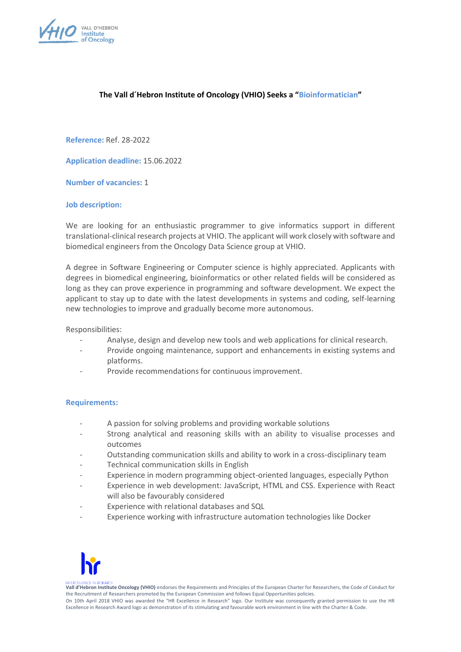

# **The Vall d´Hebron Institute of Oncology (VHIO) Seeks a "Bioinformatician"**

**Reference:** Ref. 28-2022

**Application deadline:** 15.06.2022

**Number of vacancies:** 1

## **Job description:**

We are looking for an enthusiastic programmer to give informatics support in different translational-clinical research projects at VHIO. The applicant will work closely with software and biomedical engineers from the Oncology Data Science group at VHIO.

A degree in Software Engineering or Computer science is highly appreciated. Applicants with degrees in biomedical engineering, bioinformatics or other related fields will be considered as long as they can prove experience in programming and software development. We expect the applicant to stay up to date with the latest developments in systems and coding, self-learning new technologies to improve and gradually become more autonomous.

Responsibilities:

- Analyse, design and develop new tools and web applications for clinical research.
- Provide ongoing maintenance, support and enhancements in existing systems and platforms.
- Provide recommendations for continuous improvement.

## **Requirements:**

- A passion for solving problems and providing workable solutions
- Strong analytical and reasoning skills with an ability to visualise processes and outcomes
- Outstanding communication skills and ability to work in a cross-disciplinary team
- Technical communication skills in English
- Experience in modern programming object-oriented languages, especially Python
- Experience in web development: JavaScript, HTML and CSS. Experience with React will also be favourably considered
- Experience with relational databases and SQL
- Experience working with infrastructure automation technologies like Docker



**Vall d'Hebron Institute Oncology (VHIO)** endorses the Requirements and Principles of the European Charter for Researchers, the Code of Conduct for the Recruitment of Researchers promoted by the European Commission and follows Equal Opportunities policies. On 10th April 2018 VHIO was awarded the "HR Excellence in Research" logo. Our Institute was consequently granted permission to use the HR Excellence in Research Award logo as demonstration of its stimulating and favourable work environment in line with the Charter & Code.